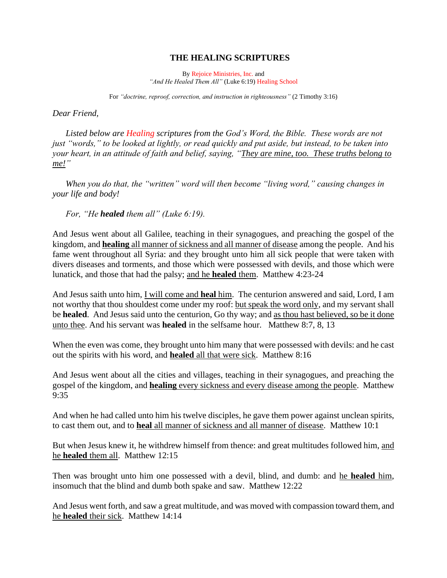## **THE HEALING SCRIPTURES**

By Rejoice Ministries, Inc. and *"And He Healed Them All"* (Luke 6:19) Healing School

For *"doctrine, reproof, correction, and instruction in righteousness"* (2 Timothy 3:16)

*Dear Friend,*

*Listed below are Healing scriptures from the God's Word, the Bible. These words are not just "words," to be looked at lightly, or read quickly and put aside, but instead, to be taken into your heart, in an attitude of faith and belief, saying, "They are mine, too. These truths belong to me!"* 

*When you do that, the "written" word will then become "living word," causing changes in your life and body!* 

*For, "He healed them all" (Luke 6:19).*

And Jesus went about all Galilee, teaching in their synagogues, and preaching the gospel of the kingdom, and **healing** all manner of sickness and all manner of disease among the people. And his fame went throughout all Syria: and they brought unto him all sick people that were taken with divers diseases and torments, and those which were possessed with devils, and those which were lunatick, and those that had the palsy; and he **healed** them. Matthew 4:23-24

And Jesus saith unto him, I will come and **heal** him. The centurion answered and said, Lord, I am not worthy that thou shouldest come under my roof: but speak the word only, and my servant shall be **healed**. And Jesus said unto the centurion, Go thy way; and as thou hast believed, so be it done unto thee. And his servant was **healed** in the selfsame hour. Matthew 8:7, 8, 13

When the even was come, they brought unto him many that were possessed with devils: and he cast out the spirits with his word, and **healed** all that were sick. Matthew 8:16

And Jesus went about all the cities and villages, teaching in their synagogues, and preaching the gospel of the kingdom, and **healing** every sickness and every disease among the people. Matthew 9:35

And when he had called unto him his twelve disciples, he gave them power against unclean spirits, to cast them out, and to **heal** all manner of sickness and all manner of disease. Matthew 10:1

But when Jesus knew it, he withdrew himself from thence: and great multitudes followed him, and he **healed** them all. Matthew 12:15

Then was brought unto him one possessed with a devil, blind, and dumb: and he **healed** him, insomuch that the blind and dumb both spake and saw. Matthew 12:22

And Jesus went forth, and saw a great multitude, and was moved with compassion toward them, and he **healed** their sick. Matthew 14:14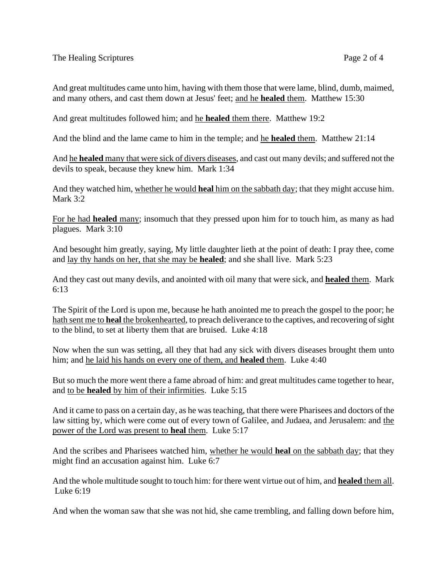And great multitudes came unto him, having with them those that were lame, blind, dumb, maimed, and many others, and cast them down at Jesus' feet; and he **healed** them. Matthew 15:30

And great multitudes followed him; and he **healed** them there. Matthew 19:2

And the blind and the lame came to him in the temple; and he **healed** them. Matthew 21:14

And he **healed** many that were sick of divers diseases, and cast out many devils; and suffered not the devils to speak, because they knew him. Mark 1:34

And they watched him, whether he would **heal** him on the sabbath day; that they might accuse him. Mark 3:2

For he had **healed** many; insomuch that they pressed upon him for to touch him, as many as had plagues. Mark 3:10

And besought him greatly, saying, My little daughter lieth at the point of death: I pray thee, come and lay thy hands on her, that she may be **healed**; and she shall live. Mark 5:23

And they cast out many devils, and anointed with oil many that were sick, and **healed** them. Mark 6:13

The Spirit of the Lord is upon me, because he hath anointed me to preach the gospel to the poor; he hath sent me to **heal** the brokenhearted, to preach deliverance to the captives, and recovering of sight to the blind, to set at liberty them that are bruised. Luke 4:18

Now when the sun was setting, all they that had any sick with divers diseases brought them unto him; and he laid his hands on every one of them, and **healed** them. Luke 4:40

But so much the more went there a fame abroad of him: and great multitudes came together to hear, and to be **healed** by him of their infirmities. Luke 5:15

And it came to pass on a certain day, as he was teaching, that there were Pharisees and doctors of the law sitting by, which were come out of every town of Galilee, and Judaea, and Jerusalem: and the power of the Lord was present to **heal** them. Luke 5:17

And the scribes and Pharisees watched him, whether he would **heal** on the sabbath day; that they might find an accusation against him. Luke 6:7

And the whole multitude sought to touch him: for there went virtue out of him, and **healed** them all. Luke 6:19

And when the woman saw that she was not hid, she came trembling, and falling down before him,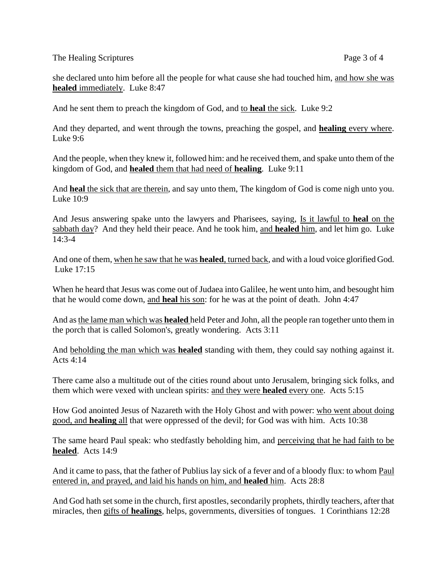The Healing Scriptures Page 3 of 4

she declared unto him before all the people for what cause she had touched him, and how she was **healed** immediately. Luke 8:47

And he sent them to preach the kingdom of God, and to **heal** the sick. Luke 9:2

And they departed, and went through the towns, preaching the gospel, and **healing** every where. Luke 9:6

And the people, when they knew it, followed him: and he received them, and spake unto them of the kingdom of God, and **healed** them that had need of **healing**. Luke 9:11

And **heal** the sick that are therein, and say unto them, The kingdom of God is come nigh unto you. Luke 10:9

And Jesus answering spake unto the lawyers and Pharisees, saying, Is it lawful to **heal** on the sabbath day? And they held their peace. And he took him, and **healed** him, and let him go. Luke 14:3-4

And one of them, when he saw that he was **healed**, turned back, and with a loud voice glorified God. Luke 17:15

When he heard that Jesus was come out of Judaea into Galilee, he went unto him, and besought him that he would come down, and **heal** his son: for he was at the point of death. John 4:47

And as the lame man which was **healed** held Peter and John, all the people ran together unto them in the porch that is called Solomon's, greatly wondering. Acts 3:11

And beholding the man which was **healed** standing with them, they could say nothing against it. Acts 4:14

There came also a multitude out of the cities round about unto Jerusalem, bringing sick folks, and them which were vexed with unclean spirits: and they were **healed** every one. Acts 5:15

How God anointed Jesus of Nazareth with the Holy Ghost and with power: who went about doing good, and **healing** all that were oppressed of the devil; for God was with him. Acts 10:38

The same heard Paul speak: who stedfastly beholding him, and perceiving that he had faith to be **healed**. Acts 14:9

And it came to pass, that the father of Publius lay sick of a fever and of a bloody flux: to whom Paul entered in, and prayed, and laid his hands on him, and **healed** him. Acts 28:8

And God hath set some in the church, first apostles, secondarily prophets, thirdly teachers, after that miracles, then gifts of **healings**, helps, governments, diversities of tongues. 1 Corinthians 12:28